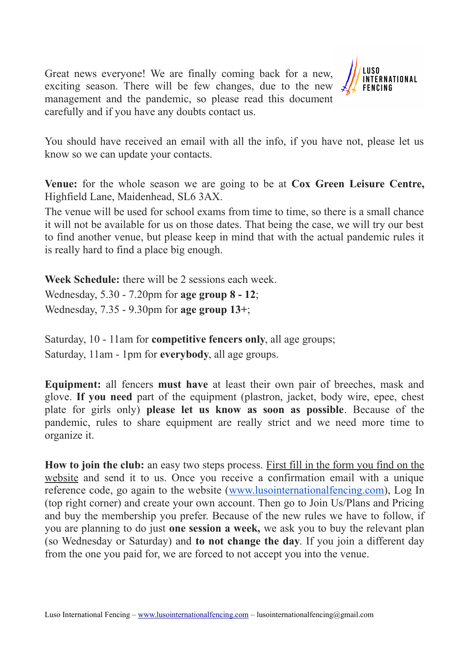Great news everyone! We are finally coming back for a new, exciting season. There will be few changes, due to the new management and the pandemic, so please read this document carefully and if you have any doubts contact us.



You should have received an email with all the info, if you have not, please let us know so we can update your contacts.

**Venue:** for the whole season we are going to be at **Cox Green Leisure Centre,** Highfield Lane, Maidenhead, SL6 3AX.

The venue will be used for school exams from time to time, so there is a small chance it will not be available for us on those dates. That being the case, we will try our best to find another venue, but please keep in mind that with the actual pandemic rules it is really hard to find a place big enough.

**Week Schedule:** there will be 2 sessions each week. Wednesday, 5.30 - 7.20pm for **age group 8 - 12**; Wednesday, 7.35 - 9.30pm for **age group 13+**;

Saturday, 10 - 11am for **competitive fencers only**, all age groups; Saturday, 11am - 1pm for **everybody**, all age groups.

**Equipment:** all fencers **must have** at least their own pair of breeches, mask and glove. **If you need** part of the equipment (plastron, jacket, body wire, epee, chest plate for girls only) **please let us know as soon as possible**. Because of the pandemic, rules to share equipment are really strict and we need more time to organize it.

**How to join the club:** an easy two steps process. First fill in the form you find on the website and send it to us. Once you receive a confirmation email with a unique reference code, go again to the website [\(www.lusointernationalfencing.com\)](http://www.lusointernationalfencing.com/), Log In (top right corner) and create your own account. Then go to Join Us/Plans and Pricing and buy the membership you prefer. Because of the new rules we have to follow, if you are planning to do just **one session a week,** we ask you to buy the relevant plan (so Wednesday or Saturday) and **to not change the day**. If you join a different day from the one you paid for, we are forced to not accept you into the venue.